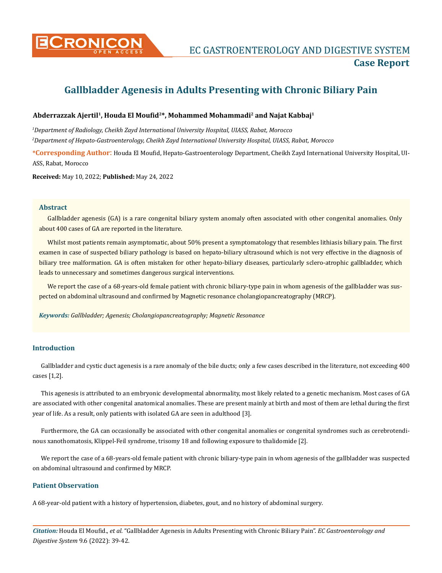

# **Gallbladder Agenesis in Adults Presenting with Chronic Biliary Pain**

## **Abderrazzak Ajertil1, Houda El Moufid2\*, Mohammed Mohammadi2 and Najat Kabbaj1**

*1 Department of Radiology, Cheikh Zayd International University Hospital, UIASS, Rabat, Morocco 2 Department of Hepato-Gastroenterology, Cheikh Zayd International University Hospital, UIASS, Rabat, Morocco*

**\*Corresponding Author**: Houda El Moufid, Hepato-Gastroenterology Department, Cheikh Zayd International University Hospital, UI-ASS, Rabat, Morocco

**Received:** May 10, 2022; **Published:** May 24, 2022

#### **Abstract**

Gallbladder agenesis (GA) is a rare congenital biliary system anomaly often associated with other congenital anomalies. Only about 400 cases of GA are reported in the literature.

Whilst most patients remain asymptomatic, about 50% present a symptomatology that resembles lithiasis biliary pain. The first examen in case of suspected biliary pathology is based on hepato-biliary ultrasound which is not very effective in the diagnosis of biliary tree malformation. GA is often mistaken for other hepato-biliary diseases, particularly sclero-atrophic gallbladder, which leads to unnecessary and sometimes dangerous surgical interventions.

We report the case of a 68-years-old female patient with chronic biliary-type pain in whom agenesis of the gallbladder was suspected on abdominal ultrasound and confirmed by Magnetic resonance cholangiopancreatography (MRCP).

*Keywords: Gallbladder; Agenesis; Cholangiopancreatography; Magnetic Resonance*

## **Introduction**

Gallbladder and cystic duct agenesis is a rare anomaly of the bile ducts; only a few cases described in the literature, not exceeding 400 cases [1,2].

This agenesis is attributed to an embryonic developmental abnormality, most likely related to a genetic mechanism. Most cases of GA are associated with other congenital anatomical anomalies. These are present mainly at birth and most of them are lethal during the first year of life. As a result, only patients with isolated GA are seen in adulthood [3].

Furthermore, the GA can occasionally be associated with other congenital anomalies or congenital syndromes such as cerebrotendinous xanothomatosis, Klippel-Feil syndrome, trisomy 18 and following exposure to thalidomide [2].

We report the case of a 68-years-old female patient with chronic biliary-type pain in whom agenesis of the gallbladder was suspected on abdominal ultrasound and confirmed by MRCP.

## **Patient Observation**

A 68-year-old patient with a history of hypertension, diabetes, gout, and no history of abdominal surgery.

*Citation:* Houda El Moufid., *et al.* "Gallbladder Agenesis in Adults Presenting with Chronic Biliary Pain". *EC Gastroenterology and Digestive System* 9.6 (2022): 39-42.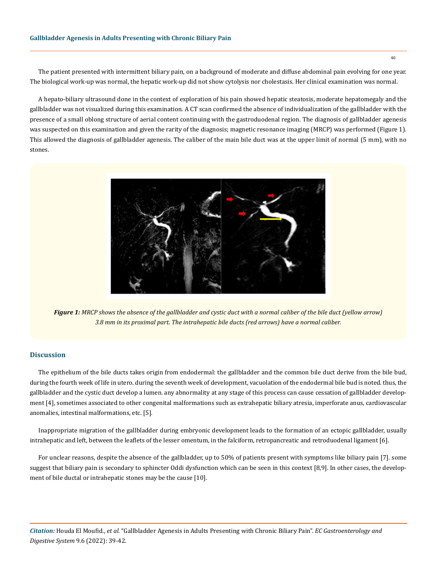The patient presented with intermittent biliary pain, on a background of moderate and diffuse abdominal pain evolving for one year. The biological work-up was normal, the hepatic work-up did not show cytolysis nor cholestasis. Her clinical examination was normal.

A hepato-biliary ultrasound done in the context of exploration of his pain showed hepatic steatosis, moderate hepatomegaly and the gallbladder was not visualized during this examination. A CT scan confirmed the absence of individualization of the gallbladder with the presence of a small oblong structure of aerial content continuing with the gastroduodenal region. The diagnosis of gallbladder agenesis was suspected on this examination and given the rarity of the diagnosis; magnetic resonance imaging (MRCP) was performed (Figure 1). This allowed the diagnosis of gallbladder agenesis. The caliber of the main bile duct was at the upper limit of normal (5 mm), with no stones.



*Figure 1: MRCP shows the absence of the gallbladder and cystic duct with a normal caliber of the bile duct (yellow arrow) 3.8 mm in its proximal part. The intrahepatic bile ducts (red arrows) have a normal caliber.*

#### **Discussion**

The epithelium of the bile ducts takes origin from endodermal: the gallbladder and the common bile duct derive from the bile bud, during the fourth week of life in utero. during the seventh week of development, vacuolation of the endodermal bile bud is noted. thus, the gallbladder and the cystic duct develop a lumen. any abnormality at any stage of this process can cause cessation of gallbladder development [4], sometimes associated to other congenital malformations such as extrahepatic biliary atresia, imperforate anus, cardiovascular anomalies, intestinal malformations, etc. [5].

Inappropriate migration of the gallbladder during embryonic development leads to the formation of an ectopic gallbladder, usually intrahepatic and left, between the leaflets of the lesser omentum, in the falciform, retropancreatic and retroduodenal ligament [6].

For unclear reasons, despite the absence of the gallbladder, up to 50% of patients present with symptoms like biliary pain [7]. some suggest that biliary pain is secondary to sphincter Oddi dysfunction which can be seen in this context [8,9]. In other cases, the development of bile ductal or intrahepatic stones may be the cause [10].

*Citation:* Houda El Moufid., *et al.* "Gallbladder Agenesis in Adults Presenting with Chronic Biliary Pain". *EC Gastroenterology and Digestive System* 9.6 (2022): 39-42.

40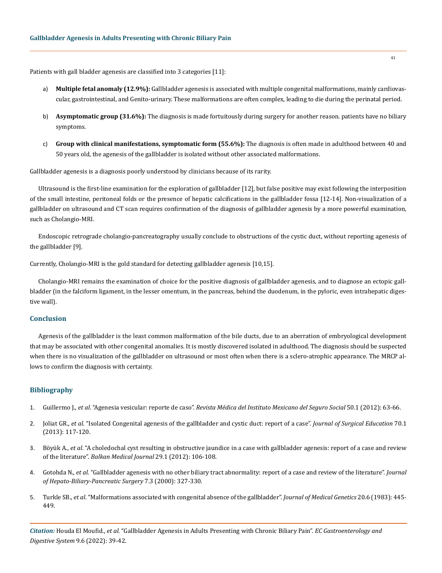Patients with gall bladder agenesis are classified into 3 categories [11]:

- a) **Multiple fetal anomaly (12.9%):** Gallbladder agenesis is associated with multiple congenital malformations, mainly cardiovascular, gastrointestinal, and Genito-urinary. These malformations are often complex, leading to die during the perinatal period.
- b) **Asymptomatic group (31.6%):** The diagnosis is made fortuitously during surgery for another reason. patients have no biliary symptoms.
- c) **Group with clinical manifestations, symptomatic form (55.6%):** The diagnosis is often made in adulthood between 40 and 50 years old, the agenesis of the gallbladder is isolated without other associated malformations.

Gallbladder agenesis is a diagnosis poorly understood by clinicians because of its rarity.

Ultrasound is the first-line examination for the exploration of gallbladder [12], but false positive may exist following the interposition of the small intestine, peritoneal folds or the presence of hepatic calcifications in the gallbladder fossa [12-14]. Non-visualization of a gallbladder on ultrasound and CT scan requires confirmation of the diagnosis of gallbladder agenesis by a more powerful examination, such as Cholangio-MRI.

Endoscopic retrograde cholangio-pancreatography usually conclude to obstructions of the cystic duct, without reporting agenesis of the gallbladder [9].

Currently, Cholangio-MRI is the gold standard for detecting gallbladder agenesis [10,15].

Cholangio-MRI remains the examination of choice for the positive diagnosis of gallbladder agenesis, and to diagnose an ectopic gallbladder (in the falciform ligament, in the lesser omentum, in the pancreas, behind the duodenum, in the pyloric, even intrahepatic digestive wall).

#### **Conclusion**

Agenesis of the gallbladder is the least common malformation of the bile ducts, due to an aberration of embryological development that may be associated with other congenital anomalies. It is mostly discovered isolated in adulthood. The diagnosis should be suspected when there is no visualization of the gallbladder on ultrasound or most often when there is a sclero-atrophic appearance. The MRCP allows to confirm the diagnosis with certainty.

#### **Bibliography**

- 1. Guillermo J., *et al*. "Agenesia vesicular: reporte de caso". *[Revista Médica del Instituto Mexicano del Seguro Social](https://www.redalyc.org/pdf/4577/457745493013.pdf)* 50.1 (2012): 63-66.
- 2. Joliat GR., *et al*[. "Isolated Congenital agenesis of the gallbladder and cystic duct: report of a case".](https://pubmed.ncbi.nlm.nih.gov/23337680/) *Journal of Surgical Education* 70.1 [\(2013\): 117-120.](https://pubmed.ncbi.nlm.nih.gov/23337680/)
- 3. Böyük A., *et al*[. "A choledochal cyst resulting in obstructive jaundice in a case with gallbladder agenesis: report of a case and review](https://www.researchgate.net/publication/274776381_A_Choledochal_Cyst_Resulting_In_Obstructive_Jaundice_In_A_Case_With_Gallbladder_Agenesis_Report_Of_A_Case_And_Review_Of_The_Literature) of the literature". *[Balkan Medical Journal](https://www.researchgate.net/publication/274776381_A_Choledochal_Cyst_Resulting_In_Obstructive_Jaundice_In_A_Case_With_Gallbladder_Agenesis_Report_Of_A_Case_And_Review_Of_The_Literature)* 29.1 (2012): 106-108.
- 4. Gotohda N., *et al*[. "Gallbladder agenesis with no other biliary tract abnormality: report of a case and review of the literature".](https://pubmed.ncbi.nlm.nih.gov/10982635/) *Journal [of Hepato-Biliary-Pancreatic Surgery](https://pubmed.ncbi.nlm.nih.gov/10982635/)* 7.3 (2000): 327-330.
- 5. Turkle SB., *et al*[. "Malformations associated with congenital absence of the gallbladder".](https://pubmed.ncbi.nlm.nih.gov/6655671/) *Journal of Medical Genetics* 20.6 (1983): 445- [449.](https://pubmed.ncbi.nlm.nih.gov/6655671/)

*Citation:* Houda El Moufid., *et al.* "Gallbladder Agenesis in Adults Presenting with Chronic Biliary Pain". *EC Gastroenterology and Digestive System* 9.6 (2022): 39-42.

41